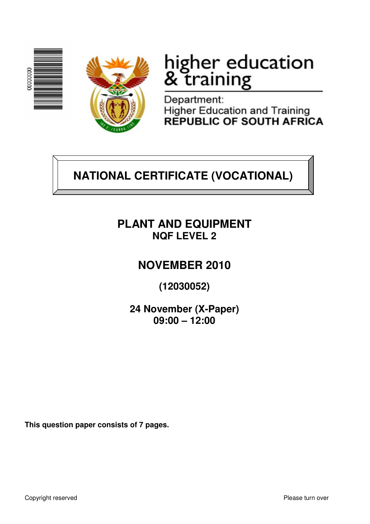



# higher education<br>& training

Department: **Higher Education and Training REPUBLIC OF SOUTH AFRICA** 

## **NATIONAL CERTIFICATE (VOCATIONAL)**

### **PLANT AND EQUIPMENT NQF LEVEL 2**

## **NOVEMBER 2010**

**(12030052)** 

**24 November (X-Paper) 09:00 – 12:00**

**This question paper consists of 7 pages.**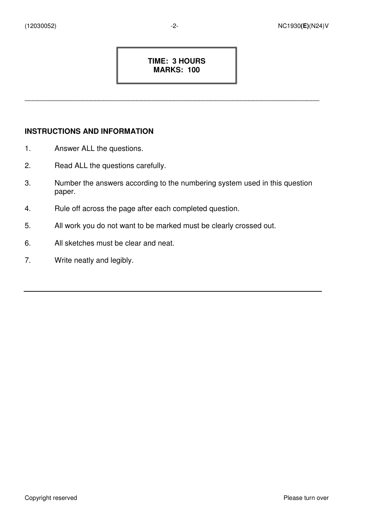#### **TIME: 3 HOURS MARKS: 100**

\_\_\_\_\_\_\_\_\_\_\_\_\_\_\_\_\_\_\_\_\_\_\_\_\_\_\_\_\_\_\_\_\_\_\_\_\_\_\_\_\_\_\_\_\_\_\_\_\_\_\_\_\_\_\_\_\_\_\_\_\_\_\_\_\_\_\_\_\_\_\_

#### **INSTRUCTIONS AND INFORMATION**

- 1. Answer ALL the questions.
- 2. Read ALL the questions carefully.
- 3. Number the answers according to the numbering system used in this question paper.
- 4. Rule off across the page after each completed question.
- 5. All work you do not want to be marked must be clearly crossed out.
- 6. All sketches must be clear and neat.
- 7. Write neatly and legibly.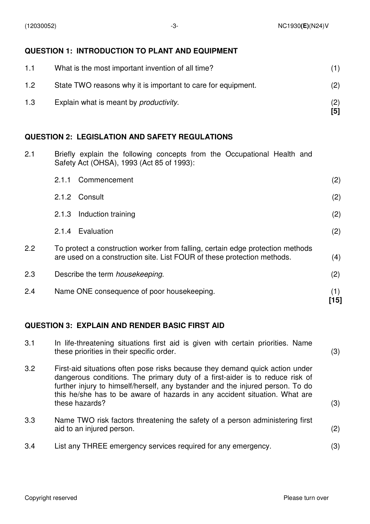#### **QUESTION 1: INTRODUCTION TO PLANT AND EQUIPMENT**

| 1.1 | What is the most important invention of all time?            |     |
|-----|--------------------------------------------------------------|-----|
| 1.2 | State TWO reasons why it is important to care for equipment. | (2) |
| 1.3 | Explain what is meant by <i>productivity</i> .               | [5] |

#### **QUESTION 2: LEGISLATION AND SAFETY REGULATIONS**

2.1 Briefly explain the following concepts from the Occupational Health and Safety Act (OHSA), 1993 (Act 85 of 1993):

| 2.4 | Name ONE consequence of poor housekeeping.                                                                                                                | (1)<br>[15] |
|-----|-----------------------------------------------------------------------------------------------------------------------------------------------------------|-------------|
| 2.3 | Describe the term <i>housekeeping</i> .                                                                                                                   | (2)         |
| 2.2 | To protect a construction worker from falling, certain edge protection methods<br>are used on a construction site. List FOUR of these protection methods. | (4)         |
|     | Evaluation<br>2.1.4                                                                                                                                       | (2)         |
|     | Induction training<br>2.1.3                                                                                                                               | (2)         |
|     | 2.1.2 Consult                                                                                                                                             | (2)         |
|     | 2.1.1<br>Commencement                                                                                                                                     | (2)         |

#### **QUESTION 3: EXPLAIN AND RENDER BASIC FIRST AID**

| 3.1 | In life-threatening situations first aid is given with certain priorities. Name<br>these priorities in their specific order.                                                                                                                                                                                                                   | (3) |
|-----|------------------------------------------------------------------------------------------------------------------------------------------------------------------------------------------------------------------------------------------------------------------------------------------------------------------------------------------------|-----|
| 3.2 | First-aid situations often pose risks because they demand quick action under<br>dangerous conditions. The primary duty of a first-aider is to reduce risk of<br>further injury to himself/herself, any bystander and the injured person. To do<br>this he/she has to be aware of hazards in any accident situation. What are<br>these hazards? | (3) |
| 3.3 | Name TWO risk factors threatening the safety of a person administering first<br>aid to an injured person.                                                                                                                                                                                                                                      | (2) |
| 3.4 | List any THREE emergency services required for any emergency.                                                                                                                                                                                                                                                                                  | (3) |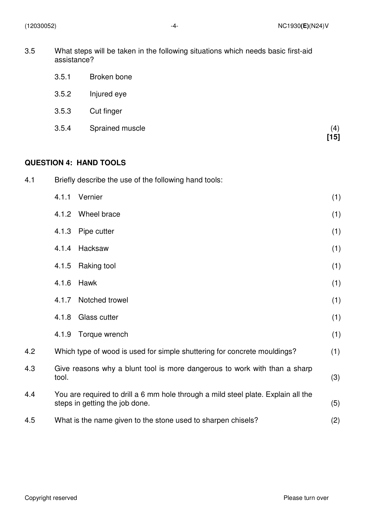| 3.5 | What steps will be taken in the following situations which needs basic first-aid |
|-----|----------------------------------------------------------------------------------|
|     | assistance?                                                                      |

- 3.5.2 Injured eye
- 3.5.3 Cut finger
- 3.5.4 Sprained muscle  $\binom{4}{15}$

#### **QUESTION 4: HAND TOOLS**

| 4.1 | Briefly describe the use of the following hand tools:                                                               |     |  |
|-----|---------------------------------------------------------------------------------------------------------------------|-----|--|
|     | Vernier<br>4.1.1                                                                                                    | (1) |  |
|     | Wheel brace<br>4.1.2                                                                                                | (1) |  |
|     | 4.1.3<br>Pipe cutter                                                                                                | (1) |  |
|     | Hacksaw<br>4.1.4                                                                                                    | (1) |  |
|     | 4.1.5<br>Raking tool                                                                                                | (1) |  |
|     | 4.1.6<br>Hawk                                                                                                       | (1) |  |
|     | Notched trowel<br>4.1.7                                                                                             | (1) |  |
|     | 4.1.8<br>Glass cutter                                                                                               | (1) |  |
|     | 4.1.9<br>Torque wrench                                                                                              | (1) |  |
| 4.2 | Which type of wood is used for simple shuttering for concrete mouldings?                                            | (1) |  |
| 4.3 | Give reasons why a blunt tool is more dangerous to work with than a sharp<br>tool.                                  | (3) |  |
| 4.4 | You are required to drill a 6 mm hole through a mild steel plate. Explain all the<br>steps in getting the job done. | (5) |  |
| 4.5 | What is the name given to the stone used to sharpen chisels?                                                        | (2) |  |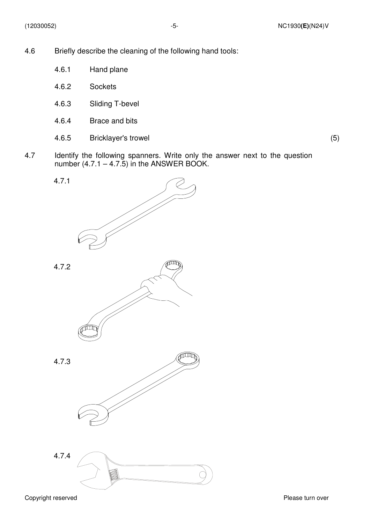- 4.6 Briefly describe the cleaning of the following hand tools:
	- 4.6.1 Hand plane
	- 4.6.2 **Sockets**
	- 4.6.3 Sliding T-bevel
	- 4.6.4 Brace and bits
	- 4.6.5 Bricklayer's trowel (5)
		-
- 4.7 Identify the following spanners. Write only the answer next to the question number  $(4.7.1 - 4.7.5)$  in the ANSWER BOOK.

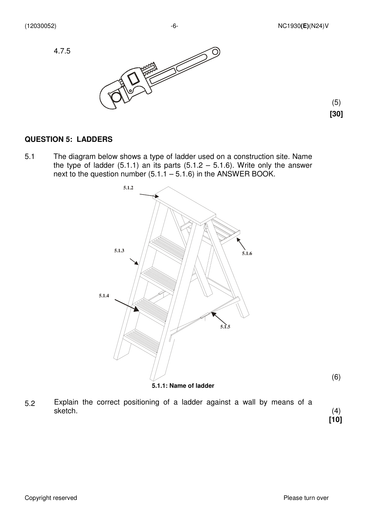

 (5)  **[30]** 

#### **QUESTION 5: LADDERS**

5.1 The diagram below shows a type of ladder used on a construction site. Name the type of ladder  $(5.1.1)$  an its parts  $(5.1.2 - 5.1.6)$ . Write only the answer next to the question number  $(5.1.1 - 5.1.6)$  in the ANSWER BOOK.



5.2 Explain the correct positioning of a ladder against a wall by means of a sketch.

 (4)  **[10]**